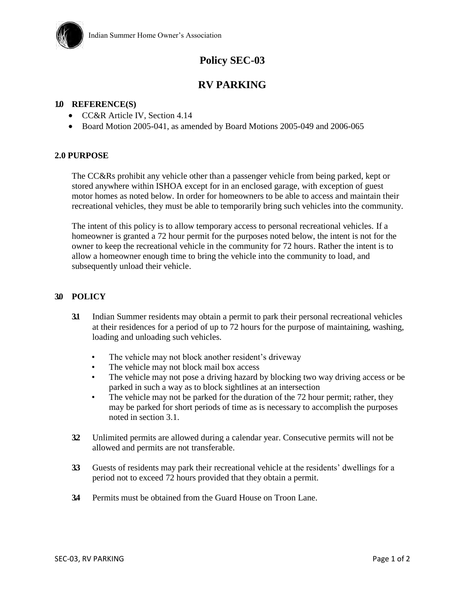

# **Policy SEC-03**

# **RV PARKING**

#### **1.0 REFERENCE(S)**

- CC&R Article IV, Section 4.14
- Board Motion 2005-041, as amended by Board Motions 2005-049 and 2006-065

### **2.0 PURPOSE**

The CC&Rs prohibit any vehicle other than a passenger vehicle from being parked, kept or stored anywhere within ISHOA except for in an enclosed garage, with exception of guest motor homes as noted below. In order for homeowners to be able to access and maintain their recreational vehicles, they must be able to temporarily bring such vehicles into the community.

The intent of this policy is to allow temporary access to personal recreational vehicles. If a homeowner is granted a 72 hour permit for the purposes noted below, the intent is not for the owner to keep the recreational vehicle in the community for 72 hours. Rather the intent is to allow a homeowner enough time to bring the vehicle into the community to load, and subsequently unload their vehicle.

#### **3.0 POLICY**

- **3.1** Indian Summer residents may obtain a permit to park their personal recreational vehicles at their residences for a period of up to 72 hours for the purpose of maintaining, washing, loading and unloading such vehicles.
	- The vehicle may not block another resident's driveway
	- The vehicle may not block mail box access
	- The vehicle may not pose a driving hazard by blocking two way driving access or be parked in such a way as to block sightlines at an intersection
	- The vehicle may not be parked for the duration of the 72 hour permit; rather, they may be parked for short periods of time as is necessary to accomplish the purposes noted in section 3.1.
- **3.2** Unlimited permits are allowed during a calendar year. Consecutive permits will not be allowed and permits are not transferable.
- **3.3** Guests of residents may park their recreational vehicle at the residents' dwellings for a period not to exceed 72 hours provided that they obtain a permit.
- **3.4** Permits must be obtained from the Guard House on Troon Lane.